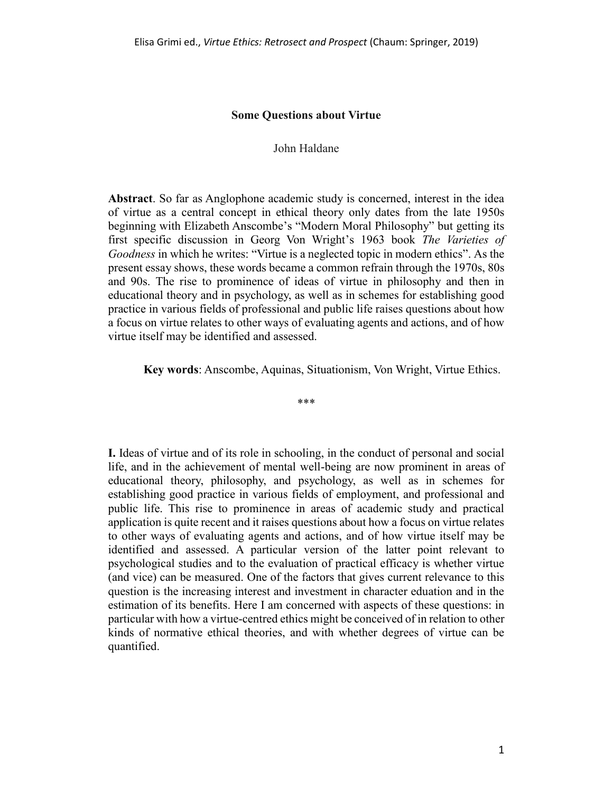## **Some Questions about Virtue**

## John Haldane

**Abstract**. So far as Anglophone academic study is concerned, interest in the idea of virtue as a central concept in ethical theory only dates from the late 1950s beginning with Elizabeth Anscombe's "Modern Moral Philosophy" but getting its first specific discussion in Georg Von Wright's 1963 book *The Varieties of Goodness* in which he writes: "Virtue is a neglected topic in modern ethics". As the present essay shows, these words became a common refrain through the 1970s, 80s and 90s. The rise to prominence of ideas of virtue in philosophy and then in educational theory and in psychology, as well as in schemes for establishing good practice in various fields of professional and public life raises questions about how a focus on virtue relates to other ways of evaluating agents and actions, and of how virtue itself may be identified and assessed.

**Key words**: Anscombe, Aquinas, Situationism, Von Wright, Virtue Ethics.

\*\*\*

**I.** Ideas of virtue and of its role in schooling, in the conduct of personal and social life, and in the achievement of mental well-being are now prominent in areas of educational theory, philosophy, and psychology, as well as in schemes for establishing good practice in various fields of employment, and professional and public life. This rise to prominence in areas of academic study and practical application is quite recent and it raises questions about how a focus on virtue relates to other ways of evaluating agents and actions, and of how virtue itself may be identified and assessed. A particular version of the latter point relevant to psychological studies and to the evaluation of practical efficacy is whether virtue (and vice) can be measured. One of the factors that gives current relevance to this question is the increasing interest and investment in character eduation and in the estimation of its benefits. Here I am concerned with aspects of these questions: in particular with how a virtue-centred ethics might be conceived of in relation to other kinds of normative ethical theories, and with whether degrees of virtue can be quantified.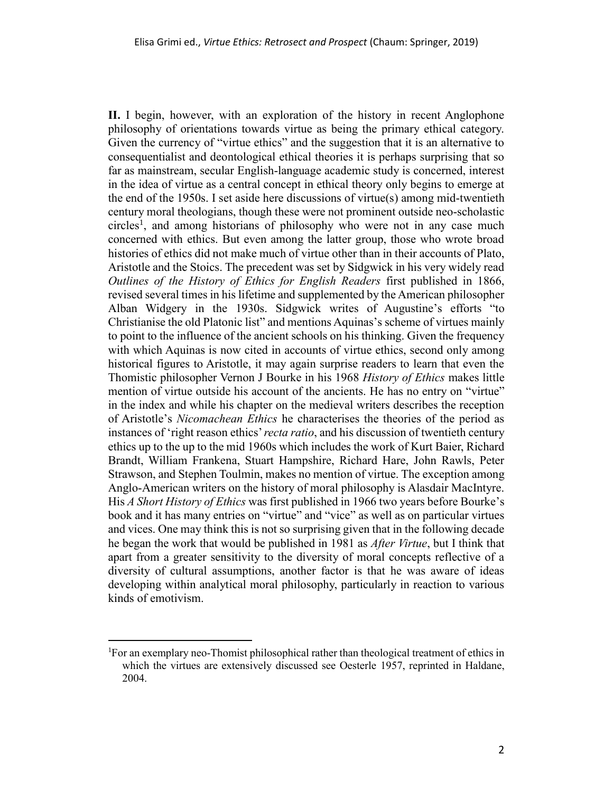**II.** I begin, however, with an exploration of the history in recent Anglophone philosophy of orientations towards virtue as being the primary ethical category. Given the currency of "virtue ethics" and the suggestion that it is an alternative to consequentialist and deontological ethical theories it is perhaps surprising that so far as mainstream, secular English-language academic study is concerned, interest in the idea of virtue as a central concept in ethical theory only begins to emerge at the end of the 1950s. I set aside here discussions of virtue(s) among mid-twentieth century moral theologians, though these were not prominent outside neo-scholastic circles<sup>1</sup>, and among historians of philosophy who were not in any case much concerned with ethics. But even among the latter group, those who wrote broad histories of ethics did not make much of virtue other than in their accounts of Plato, Aristotle and the Stoics. The precedent was set by Sidgwick in his very widely read *Outlines of the History of Ethics for English Readers* first published in 1866, revised several times in his lifetime and supplemented by the American philosopher Alban Widgery in the 1930s. Sidgwick writes of Augustine's efforts "to Christianise the old Platonic list" and mentions Aquinas's scheme of virtues mainly to point to the influence of the ancient schools on his thinking. Given the frequency with which Aquinas is now cited in accounts of virtue ethics, second only among historical figures to Aristotle, it may again surprise readers to learn that even the Thomistic philosopher Vernon J Bourke in his 1968 *History of Ethics* makes little mention of virtue outside his account of the ancients. He has no entry on "virtue" in the index and while his chapter on the medieval writers describes the reception of Aristotle's *Nicomachean Ethics* he characterises the theories of the period as instances of 'right reason ethics' *recta ratio*, and his discussion of twentieth century ethics up to the up to the mid 1960s which includes the work of Kurt Baier, Richard Brandt, William Frankena, Stuart Hampshire, Richard Hare, John Rawls, Peter Strawson, and Stephen Toulmin, makes no mention of virtue. The exception among Anglo-American writers on the history of moral philosophy is Alasdair MacIntyre. His *A Short History of Ethics* was first published in 1966 two years before Bourke's book and it has many entries on "virtue" and "vice" as well as on particular virtues and vices. One may think this is not so surprising given that in the following decade he began the work that would be published in 1981 as *After Virtue*, but I think that apart from a greater sensitivity to the diversity of moral concepts reflective of a diversity of cultural assumptions, another factor is that he was aware of ideas developing within analytical moral philosophy, particularly in reaction to various kinds of emotivism.

<sup>&</sup>lt;sup>1</sup>For an exemplary neo-Thomist philosophical rather than theological treatment of ethics in which the virtues are extensively discussed see Oesterle 1957, reprinted in Haldane, 2004.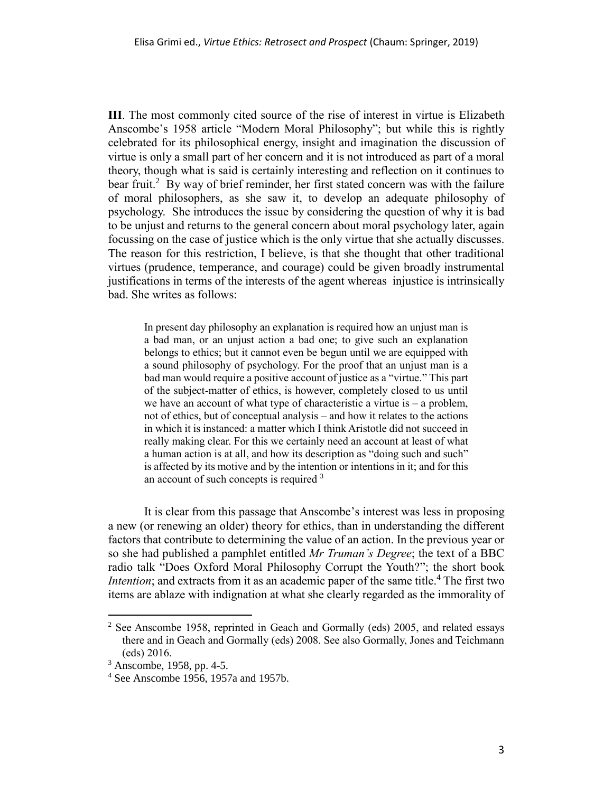**III**. The most commonly cited source of the rise of interest in virtue is Elizabeth Anscombe's 1958 article "Modern Moral Philosophy"; but while this is rightly celebrated for its philosophical energy, insight and imagination the discussion of virtue is only a small part of her concern and it is not introduced as part of a moral theory, though what is said is certainly interesting and reflection on it continues to bear fruit.<sup>2</sup> By way of brief reminder, her first stated concern was with the failure of moral philosophers, as she saw it, to develop an adequate philosophy of psychology. She introduces the issue by considering the question of why it is bad to be unjust and returns to the general concern about moral psychology later, again focussing on the case of justice which is the only virtue that she actually discusses. The reason for this restriction, I believe, is that she thought that other traditional virtues (prudence, temperance, and courage) could be given broadly instrumental justifications in terms of the interests of the agent whereas injustice is intrinsically bad. She writes as follows:

In present day philosophy an explanation is required how an unjust man is a bad man, or an unjust action a bad one; to give such an explanation belongs to ethics; but it cannot even be begun until we are equipped with a sound philosophy of psychology. For the proof that an unjust man is a bad man would require a positive account of justice as a "virtue." This part of the subject-matter of ethics, is however, completely closed to us until we have an account of what type of characteristic a virtue is – a problem, not of ethics, but of conceptual analysis – and how it relates to the actions in which it is instanced: a matter which I think Aristotle did not succeed in really making clear. For this we certainly need an account at least of what a human action is at all, and how its description as "doing such and such" is affected by its motive and by the intention or intentions in it; and for this an account of such concepts is required <sup>3</sup>

It is clear from this passage that Anscombe's interest was less in proposing a new (or renewing an older) theory for ethics, than in understanding the different factors that contribute to determining the value of an action. In the previous year or so she had published a pamphlet entitled *Mr Truman's Degree*; the text of a BBC radio talk "Does Oxford Moral Philosophy Corrupt the Youth?"; the short book *Intention*; and extracts from it as an academic paper of the same title. <sup>4</sup> The first two items are ablaze with indignation at what she clearly regarded as the immorality of

<sup>&</sup>lt;sup>2</sup> See Anscombe 1958, reprinted in Geach and Gormally (eds) 2005, and related essays there and in Geach and Gormally (eds) 2008. See also Gormally, Jones and Teichmann (eds) 2016.

<sup>3</sup> Anscombe, 1958, pp. 4-5.

<sup>4</sup> See Anscombe 1956, 1957a and 1957b.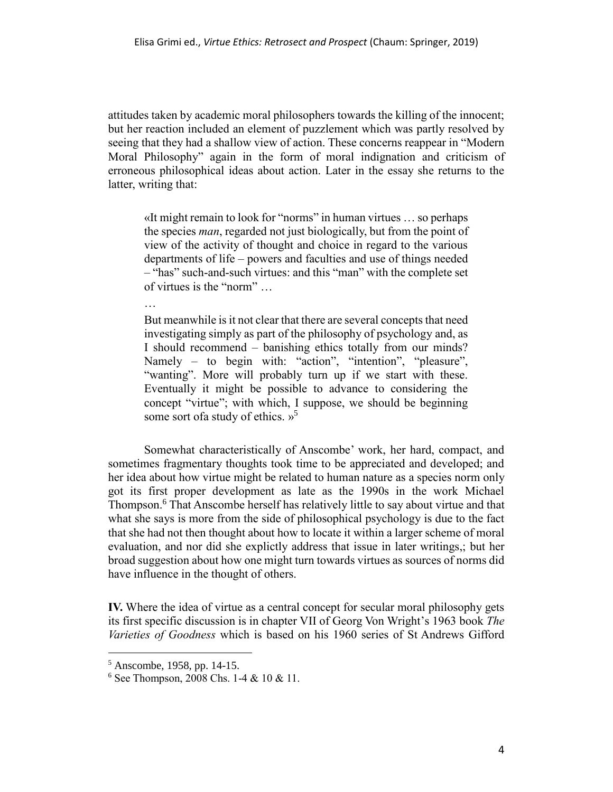attitudes taken by academic moral philosophers towards the killing of the innocent; but her reaction included an element of puzzlement which was partly resolved by seeing that they had a shallow view of action. These concerns reappear in "Modern Moral Philosophy" again in the form of moral indignation and criticism of erroneous philosophical ideas about action. Later in the essay she returns to the latter, writing that:

«It might remain to look for "norms" in human virtues … so perhaps the species *man*, regarded not just biologically, but from the point of view of the activity of thought and choice in regard to the various departments of life – powers and faculties and use of things needed – "has" such-and-such virtues: and this "man" with the complete set of virtues is the "norm" …

But meanwhile is it not clear that there are several concepts that need investigating simply as part of the philosophy of psychology and, as I should recommend – banishing ethics totally from our minds? Namely – to begin with: "action", "intention", "pleasure", "wanting". More will probably turn up if we start with these. Eventually it might be possible to advance to considering the concept "virtue"; with which, I suppose, we should be beginning some sort of a study of ethics.  $v^5$ 

Somewhat characteristically of Anscombe' work, her hard, compact, and sometimes fragmentary thoughts took time to be appreciated and developed; and her idea about how virtue might be related to human nature as a species norm only got its first proper development as late as the 1990s in the work Michael Thompson.<sup>6</sup> That Anscombe herself has relatively little to say about virtue and that what she says is more from the side of philosophical psychology is due to the fact that she had not then thought about how to locate it within a larger scheme of moral evaluation, and nor did she explictly address that issue in later writings,; but her broad suggestion about how one might turn towards virtues as sources of norms did have influence in the thought of others.

**IV.** Where the idea of virtue as a central concept for secular moral philosophy gets its first specific discussion is in chapter VII of Georg Von Wright's 1963 book *The Varieties of Goodness* which is based on his 1960 series of St Andrews Gifford

<sup>5</sup> Anscombe, 1958, pp. 14-15.

<sup>6</sup> See Thompson, 2008 Chs. 1-4 & 10 & 11.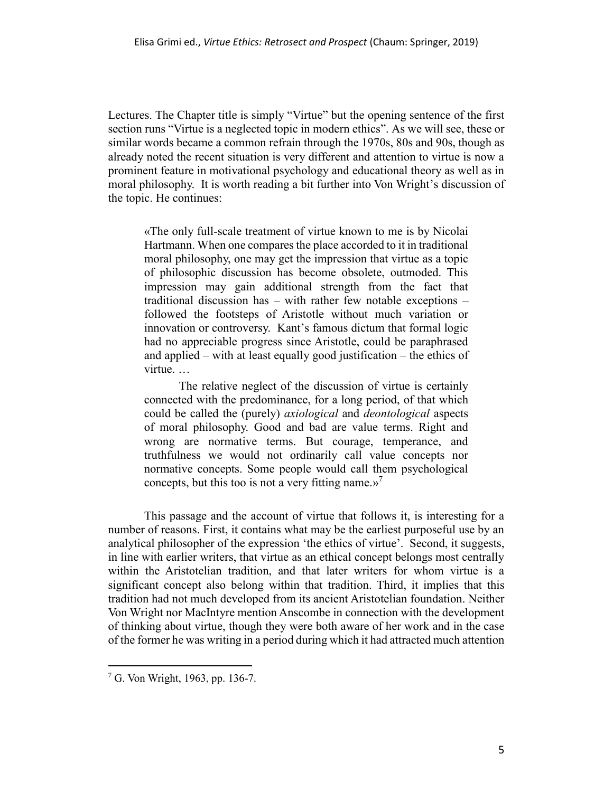Lectures. The Chapter title is simply "Virtue" but the opening sentence of the first section runs "Virtue is a neglected topic in modern ethics". As we will see, these or similar words became a common refrain through the 1970s, 80s and 90s, though as already noted the recent situation is very different and attention to virtue is now a prominent feature in motivational psychology and educational theory as well as in moral philosophy. It is worth reading a bit further into Von Wright's discussion of the topic. He continues:

«The only full-scale treatment of virtue known to me is by Nicolai Hartmann. When one compares the place accorded to it in traditional moral philosophy, one may get the impression that virtue as a topic of philosophic discussion has become obsolete, outmoded. This impression may gain additional strength from the fact that traditional discussion has – with rather few notable exceptions – followed the footsteps of Aristotle without much variation or innovation or controversy. Kant's famous dictum that formal logic had no appreciable progress since Aristotle, could be paraphrased and applied – with at least equally good justification – the ethics of virtue. …

The relative neglect of the discussion of virtue is certainly connected with the predominance, for a long period, of that which could be called the (purely) *axiological* and *deontological* aspects of moral philosophy. Good and bad are value terms. Right and wrong are normative terms. But courage, temperance, and truthfulness we would not ordinarily call value concepts nor normative concepts. Some people would call them psychological concepts, but this too is not a very fitting name. $v^7$ 

This passage and the account of virtue that follows it, is interesting for a number of reasons. First, it contains what may be the earliest purposeful use by an analytical philosopher of the expression 'the ethics of virtue'. Second, it suggests, in line with earlier writers, that virtue as an ethical concept belongs most centrally within the Aristotelian tradition, and that later writers for whom virtue is a significant concept also belong within that tradition. Third, it implies that this tradition had not much developed from its ancient Aristotelian foundation. Neither Von Wright nor MacIntyre mention Anscombe in connection with the development of thinking about virtue, though they were both aware of her work and in the case of the former he was writing in a period during which it had attracted much attention

<sup>7</sup> G. Von Wright, 1963, pp. 136-7.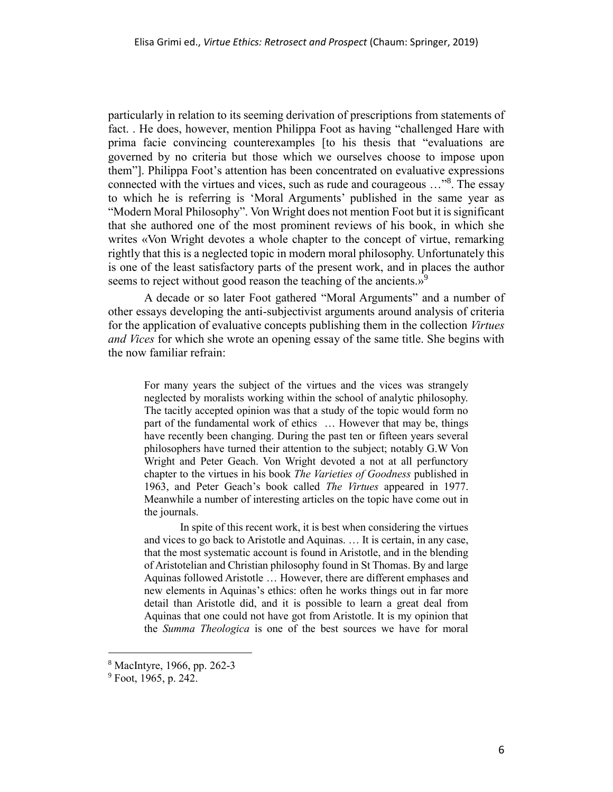particularly in relation to its seeming derivation of prescriptions from statements of fact. . He does, however, mention Philippa Foot as having "challenged Hare with prima facie convincing counterexamples [to his thesis that "evaluations are governed by no criteria but those which we ourselves choose to impose upon them"]. Philippa Foot's attention has been concentrated on evaluative expressions connected with the virtues and vices, such as rude and courageous ..."<sup>8</sup>. The essay to which he is referring is 'Moral Arguments' published in the same year as "Modern Moral Philosophy". Von Wright does not mention Foot but it is significant that she authored one of the most prominent reviews of his book, in which she writes «Von Wright devotes a whole chapter to the concept of virtue, remarking rightly that this is a neglected topic in modern moral philosophy. Unfortunately this is one of the least satisfactory parts of the present work, and in places the author seems to reject without good reason the teaching of the ancients.»<sup>9</sup>

A decade or so later Foot gathered "Moral Arguments" and a number of other essays developing the anti-subjectivist arguments around analysis of criteria for the application of evaluative concepts publishing them in the collection *Virtues and Vices* for which she wrote an opening essay of the same title. She begins with the now familiar refrain:

For many years the subject of the virtues and the vices was strangely neglected by moralists working within the school of analytic philosophy. The tacitly accepted opinion was that a study of the topic would form no part of the fundamental work of ethics … However that may be, things have recently been changing. During the past ten or fifteen years several philosophers have turned their attention to the subject; notably G.W Von Wright and Peter Geach. Von Wright devoted a not at all perfunctory chapter to the virtues in his book *The Varieties of Goodness* published in 1963, and Peter Geach's book called *The Virtues* appeared in 1977. Meanwhile a number of interesting articles on the topic have come out in the journals.

In spite of this recent work, it is best when considering the virtues and vices to go back to Aristotle and Aquinas. … It is certain, in any case, that the most systematic account is found in Aristotle, and in the blending of Aristotelian and Christian philosophy found in St Thomas. By and large Aquinas followed Aristotle … However, there are different emphases and new elements in Aquinas's ethics: often he works things out in far more detail than Aristotle did, and it is possible to learn a great deal from Aquinas that one could not have got from Aristotle. It is my opinion that the *Summa Theologica* is one of the best sources we have for moral

<sup>8</sup> MacIntyre, 1966, pp. 262-3

 $9$  Foot, 1965, p. 242.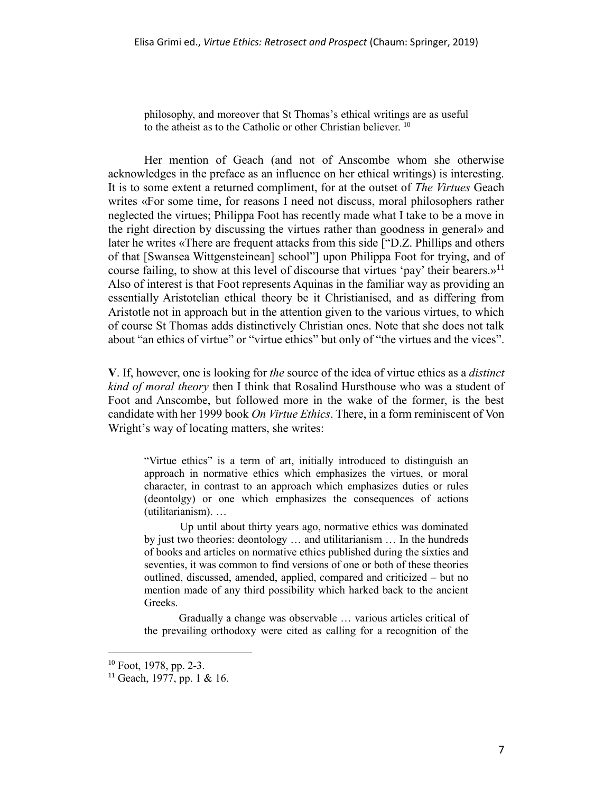philosophy, and moreover that St Thomas's ethical writings are as useful to the atheist as to the Catholic or other Christian believer. <sup>10</sup>

Her mention of Geach (and not of Anscombe whom she otherwise acknowledges in the preface as an influence on her ethical writings) is interesting. It is to some extent a returned compliment, for at the outset of *The Virtues* Geach writes «For some time, for reasons I need not discuss, moral philosophers rather neglected the virtues; Philippa Foot has recently made what I take to be a move in the right direction by discussing the virtues rather than goodness in general» and later he writes «There are frequent attacks from this side ["D.Z. Phillips and others of that [Swansea Wittgensteinean] school"] upon Philippa Foot for trying, and of course failing, to show at this level of discourse that virtues 'pay' their bearers. $v^{11}$ Also of interest is that Foot represents Aquinas in the familiar way as providing an essentially Aristotelian ethical theory be it Christianised, and as differing from Aristotle not in approach but in the attention given to the various virtues, to which of course St Thomas adds distinctively Christian ones. Note that she does not talk about "an ethics of virtue" or "virtue ethics" but only of "the virtues and the vices".

**V**. If, however, one is looking for *the* source of the idea of virtue ethics as a *distinct kind of moral theory* then I think that Rosalind Hursthouse who was a student of Foot and Anscombe, but followed more in the wake of the former, is the best candidate with her 1999 book *On Virtue Ethics*. There, in a form reminiscent of Von Wright's way of locating matters, she writes:

"Virtue ethics" is a term of art, initially introduced to distinguish an approach in normative ethics which emphasizes the virtues, or moral character, in contrast to an approach which emphasizes duties or rules (deontolgy) or one which emphasizes the consequences of actions (utilitarianism). …

Up until about thirty years ago, normative ethics was dominated by just two theories: deontology … and utilitarianism … In the hundreds of books and articles on normative ethics published during the sixties and seventies, it was common to find versions of one or both of these theories outlined, discussed, amended, applied, compared and criticized – but no mention made of any third possibility which harked back to the ancient Greeks.

Gradually a change was observable … various articles critical of the prevailing orthodoxy were cited as calling for a recognition of the

<sup>10</sup> Foot, 1978, pp. 2-3.

 $11$  Geach, 1977, pp. 1 & 16.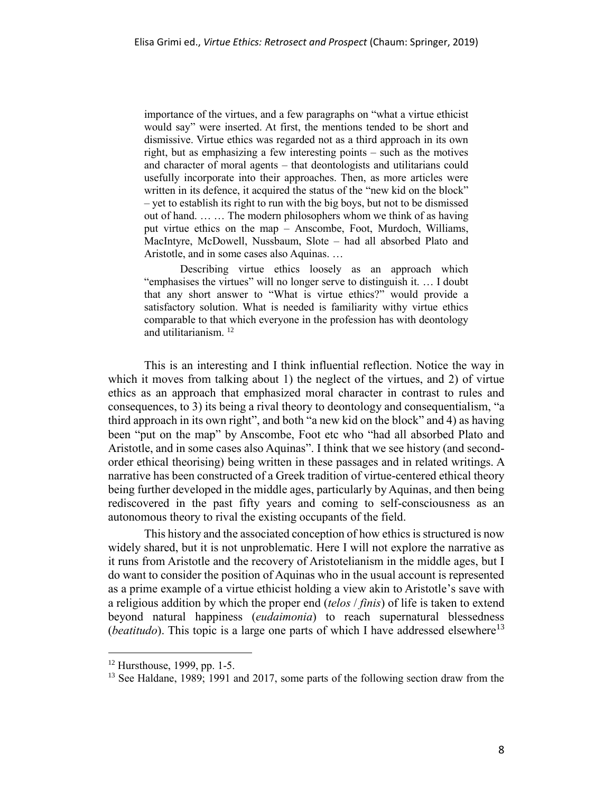importance of the virtues, and a few paragraphs on "what a virtue ethicist would say" were inserted. At first, the mentions tended to be short and dismissive. Virtue ethics was regarded not as a third approach in its own right, but as emphasizing a few interesting points – such as the motives and character of moral agents – that deontologists and utilitarians could usefully incorporate into their approaches. Then, as more articles were written in its defence, it acquired the status of the "new kid on the block" – yet to establish its right to run with the big boys, but not to be dismissed out of hand. … … The modern philosophers whom we think of as having put virtue ethics on the map – Anscombe, Foot, Murdoch, Williams, MacIntyre, McDowell, Nussbaum, Slote – had all absorbed Plato and Aristotle, and in some cases also Aquinas. …

Describing virtue ethics loosely as an approach which "emphasises the virtues" will no longer serve to distinguish it. … I doubt that any short answer to "What is virtue ethics?" would provide a satisfactory solution. What is needed is familiarity withy virtue ethics comparable to that which everyone in the profession has with deontology and utilitarianism. <sup>12</sup>

This is an interesting and I think influential reflection. Notice the way in which it moves from talking about 1) the neglect of the virtues, and 2) of virtue ethics as an approach that emphasized moral character in contrast to rules and consequences, to 3) its being a rival theory to deontology and consequentialism, "a third approach in its own right", and both "a new kid on the block" and 4) as having been "put on the map" by Anscombe, Foot etc who "had all absorbed Plato and Aristotle, and in some cases also Aquinas". I think that we see history (and secondorder ethical theorising) being written in these passages and in related writings. A narrative has been constructed of a Greek tradition of virtue-centered ethical theory being further developed in the middle ages, particularly by Aquinas, and then being rediscovered in the past fifty years and coming to self-consciousness as an autonomous theory to rival the existing occupants of the field.

This history and the associated conception of how ethics is structured is now widely shared, but it is not unproblematic. Here I will not explore the narrative as it runs from Aristotle and the recovery of Aristotelianism in the middle ages, but I do want to consider the position of Aquinas who in the usual account is represented as a prime example of a virtue ethicist holding a view akin to Aristotle's save with a religious addition by which the proper end (*telos* / *finis*) of life is taken to extend beyond natural happiness (*eudaimonia*) to reach supernatural blessedness (*beatitudo*). This topic is a large one parts of which I have addressed elsewhere<sup>13</sup>

<sup>12</sup> Hursthouse, 1999, pp. 1-5.

<sup>&</sup>lt;sup>13</sup> See Haldane, 1989; 1991 and 2017, some parts of the following section draw from the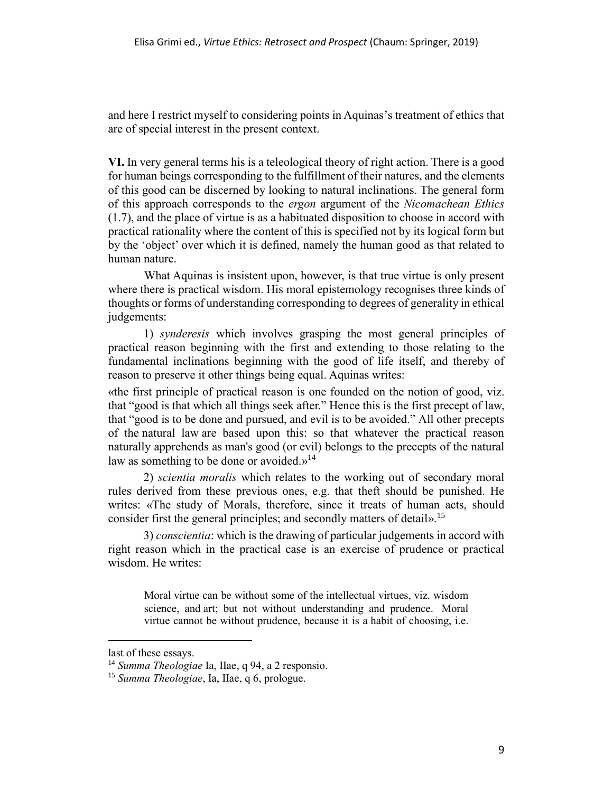and here I restrict myself to considering points in Aquinas's treatment of ethics that are of special interest in the present context.

**VI.** In very general terms his is a teleological theory of right action. There is a good for human beings corresponding to the fulfillment of their natures, and the elements of this good can be discerned by looking to natural inclinations. The general form of this approach corresponds to the *ergon* argument of the *Nicomachean Ethics* (1.7), and the place of virtue is as a habituated disposition to choose in accord with practical rationality where the content of this is specified not by its logical form but by the 'object' over which it is defined, namely the human good as that related to human nature.

What Aquinas is insistent upon, however, is that true virtue is only present where there is practical wisdom. His moral epistemology recognises three kinds of thoughts or forms of understanding corresponding to degrees of generality in ethical judgements:

1) *synderesis* which involves grasping the most general principles of practical reason beginning with the first and extending to those relating to the fundamental inclinations beginning with the good of life itself, and thereby of reason to preserve it other things being equal. Aquinas writes:

«the first principle of practical reason is one founded on the notion of good, viz. that "good is that which all things seek after." Hence this is the first precept of law, that "good is to be done and pursued, and evil is to be avoided." All other precepts of the natural law are based upon this: so that whatever the practical reason naturally apprehends as man's good (or evil) belongs to the precepts of the natural law as something to be done or avoided.»<sup>14</sup>

2) *scientia moralis* which relates to the working out of secondary moral rules derived from these previous ones, e.g. that theft should be punished. He writes: «The study of Morals, therefore, since it treats of human acts, should consider first the general principles; and secondly matters of detail».<sup>15</sup>

3) *conscientia*: which is the drawing of particular judgements in accord with right reason which in the practical case is an exercise of prudence or practical wisdom. He writes:

Moral virtue can be without some of the intellectual virtues, viz. wisdom science, and art; but not without understanding and prudence. Moral virtue cannot be without prudence, because it is a habit of choosing, i.e.

last of these essays.

<sup>14</sup> *Summa Theologiae* Ia, IIae, q 94, a 2 responsio.

<sup>15</sup> *Summa Theologiae*, Ia, IIae, q 6, prologue.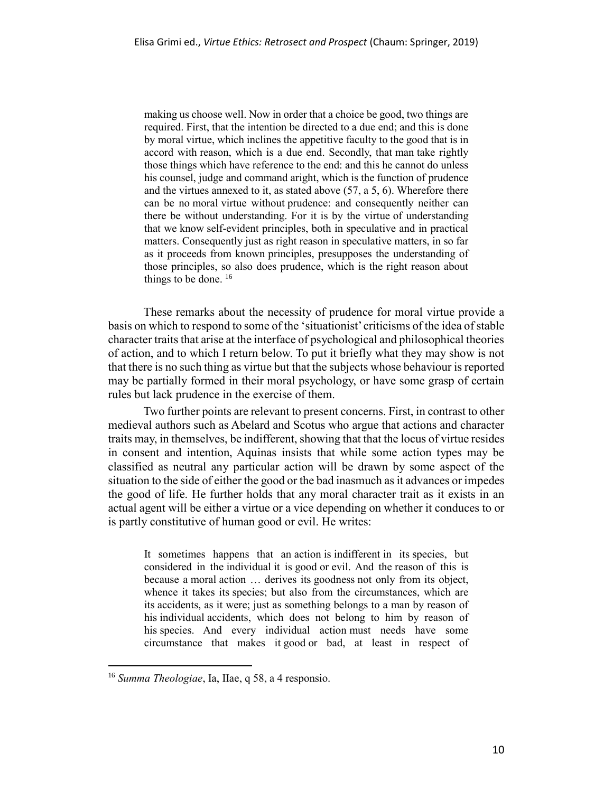making us choose well. Now in order that a choice be good, two things are required. First, that the intention be directed to a due end; and this is done by moral virtue, which inclines the appetitive faculty to the good that is in accord with reason, which is a due end. Secondly, that man take rightly those things which have reference to the end: and this he cannot do unless his counsel, judge and command aright, which is the function of prudence and the virtues annexed to it, as stated above (57, a 5, 6). Wherefore there can be no moral virtue without prudence: and consequently neither can there be without understanding. For it is by the virtue of understanding that we know self-evident principles, both in speculative and in practical matters. Consequently just as right reason in speculative matters, in so far as it proceeds from known principles, presupposes the understanding of those principles, so also does prudence, which is the right reason about things to be done.<sup>16</sup>

These remarks about the necessity of prudence for moral virtue provide a basis on which to respond to some of the 'situationist' criticisms of the idea of stable character traits that arise at the interface of psychological and philosophical theories of action, and to which I return below. To put it briefly what they may show is not that there is no such thing as virtue but that the subjects whose behaviour is reported may be partially formed in their moral psychology, or have some grasp of certain rules but lack prudence in the exercise of them.

Two further points are relevant to present concerns. First, in contrast to other medieval authors such as Abelard and Scotus who argue that actions and character traits may, in themselves, be indifferent, showing that that the locus of virtue resides in consent and intention, Aquinas insists that while some action types may be classified as neutral any particular action will be drawn by some aspect of the situation to the side of either the good or the bad inasmuch as it advances or impedes the good of life. He further holds that any moral character trait as it exists in an actual agent will be either a virtue or a vice depending on whether it conduces to or is partly constitutive of human good or evil. He writes:

It sometimes happens that an action is indifferent in its species, but considered in the individual it is good or evil. And the reason of this is because a moral action … derives its goodness not only from its object, whence it takes its species; but also from the circumstances, which are its accidents, as it were; just as something belongs to a man by reason of his individual accidents, which does not belong to him by reason of his species. And every individual action must needs have some circumstance that makes it good or bad, at least in respect of

<sup>16</sup> *Summa Theologiae*, Ia, IIae, q 58, a 4 responsio.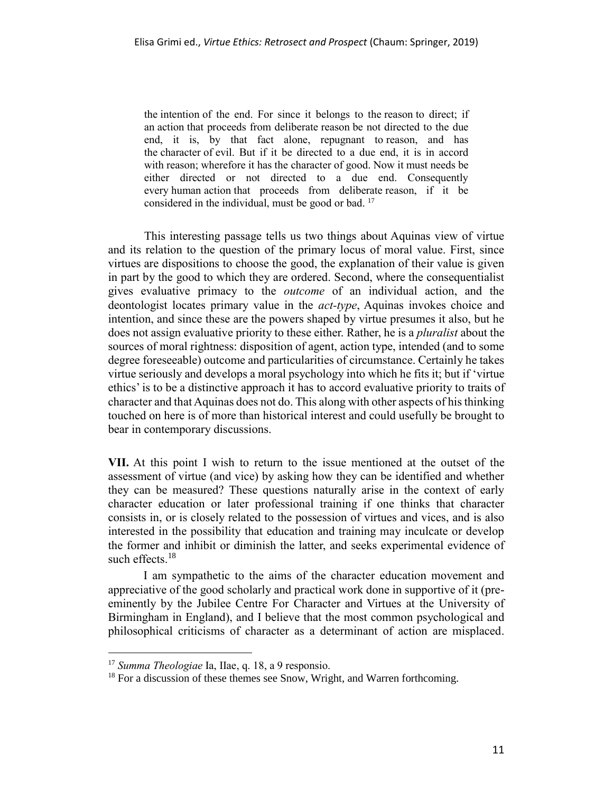the intention of the end. For since it belongs to the reason to direct; if an action that proceeds from deliberate reason be not directed to the due end, it is, by that fact alone, repugnant to reason, and has the character of evil. But if it be directed to a due end, it is in accord with reason; wherefore it has the character of good. Now it must needs be either directed or not directed to a due end. Consequently every human action that proceeds from deliberate reason, if it be considered in the individual, must be good or bad. <sup>17</sup>

This interesting passage tells us two things about Aquinas view of virtue and its relation to the question of the primary locus of moral value. First, since virtues are dispositions to choose the good, the explanation of their value is given in part by the good to which they are ordered. Second, where the consequentialist gives evaluative primacy to the *outcome* of an individual action, and the deontologist locates primary value in the *act-type*, Aquinas invokes choice and intention, and since these are the powers shaped by virtue presumes it also, but he does not assign evaluative priority to these either. Rather, he is a *pluralist* about the sources of moral rightness: disposition of agent, action type, intended (and to some degree foreseeable) outcome and particularities of circumstance. Certainly he takes virtue seriously and develops a moral psychology into which he fits it; but if 'virtue ethics' is to be a distinctive approach it has to accord evaluative priority to traits of character and that Aquinas does not do. This along with other aspects of his thinking touched on here is of more than historical interest and could usefully be brought to bear in contemporary discussions.

**VII.** At this point I wish to return to the issue mentioned at the outset of the assessment of virtue (and vice) by asking how they can be identified and whether they can be measured? These questions naturally arise in the context of early character education or later professional training if one thinks that character consists in, or is closely related to the possession of virtues and vices, and is also interested in the possibility that education and training may inculcate or develop the former and inhibit or diminish the latter, and seeks experimental evidence of such effects. $18$ 

I am sympathetic to the aims of the character education movement and appreciative of the good scholarly and practical work done in supportive of it (preeminently by the Jubilee Centre For Character and Virtues at the University of Birmingham in England), and I believe that the most common psychological and philosophical criticisms of character as a determinant of action are misplaced.

<sup>17</sup> *Summa Theologiae* Ia, IIae, q. 18, a 9 responsio.

<sup>&</sup>lt;sup>18</sup> For a discussion of these themes see Snow, Wright, and Warren forthcoming.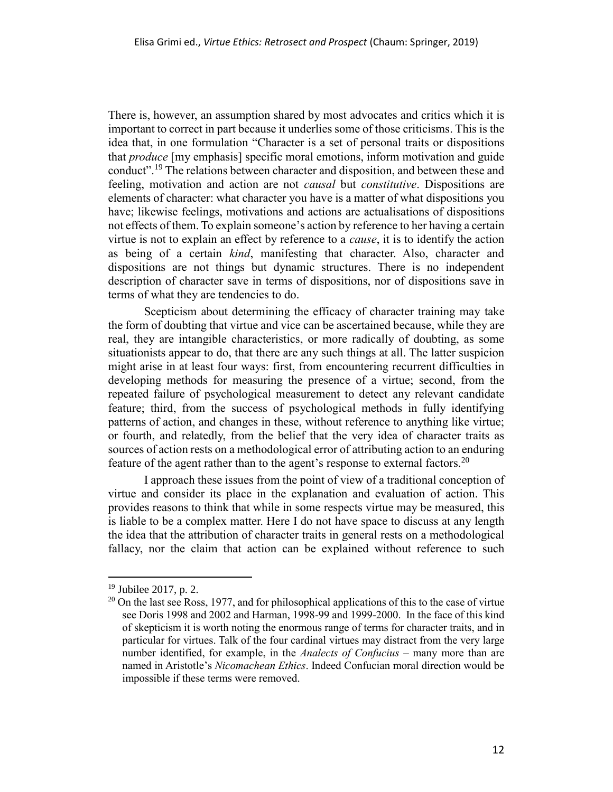There is, however, an assumption shared by most advocates and critics which it is important to correct in part because it underlies some of those criticisms. This is the idea that, in one formulation "Character is a set of personal traits or dispositions that *produce* [my emphasis] specific moral emotions, inform motivation and guide conduct". <sup>19</sup> The relations between character and disposition, and between these and feeling, motivation and action are not *causal* but *constitutive*. Dispositions are elements of character: what character you have is a matter of what dispositions you have; likewise feelings, motivations and actions are actualisations of dispositions not effects of them. To explain someone's action by reference to her having a certain virtue is not to explain an effect by reference to a *cause*, it is to identify the action as being of a certain *kind*, manifesting that character. Also, character and dispositions are not things but dynamic structures. There is no independent description of character save in terms of dispositions, nor of dispositions save in terms of what they are tendencies to do.

Scepticism about determining the efficacy of character training may take the form of doubting that virtue and vice can be ascertained because, while they are real, they are intangible characteristics, or more radically of doubting, as some situationists appear to do, that there are any such things at all. The latter suspicion might arise in at least four ways: first, from encountering recurrent difficulties in developing methods for measuring the presence of a virtue; second, from the repeated failure of psychological measurement to detect any relevant candidate feature; third, from the success of psychological methods in fully identifying patterns of action, and changes in these, without reference to anything like virtue; or fourth, and relatedly, from the belief that the very idea of character traits as sources of action rests on a methodological error of attributing action to an enduring feature of the agent rather than to the agent's response to external factors.<sup>20</sup>

I approach these issues from the point of view of a traditional conception of virtue and consider its place in the explanation and evaluation of action. This provides reasons to think that while in some respects virtue may be measured, this is liable to be a complex matter. Here I do not have space to discuss at any length the idea that the attribution of character traits in general rests on a methodological fallacy, nor the claim that action can be explained without reference to such

<sup>19</sup> Jubilee 2017, p. 2.

<sup>&</sup>lt;sup>20</sup> On the last see Ross, 1977, and for philosophical applications of this to the case of virtue see Doris 1998 and 2002 and Harman, 1998-99 and 1999-2000. In the face of this kind of skepticism it is worth noting the enormous range of terms for character traits, and in particular for virtues. Talk of the four cardinal virtues may distract from the very large number identified, for example, in the *Analects of Confucius –* many more than are named in Aristotle's *Nicomachean Ethics*. Indeed Confucian moral direction would be impossible if these terms were removed.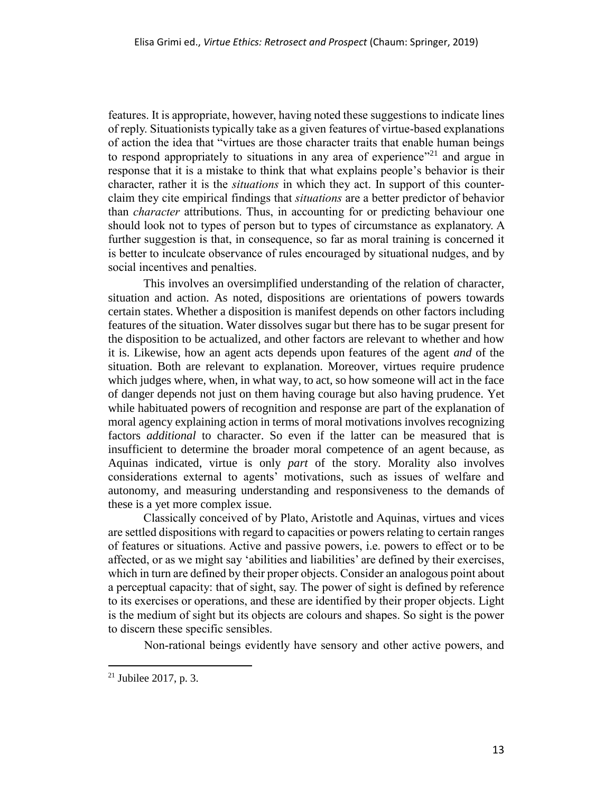features. It is appropriate, however, having noted these suggestions to indicate lines of reply. Situationists typically take as a given features of virtue-based explanations of action the idea that "virtues are those character traits that enable human beings to respond appropriately to situations in any area of experience"<sup>21</sup> and argue in response that it is a mistake to think that what explains people's behavior is their character, rather it is the *situations* in which they act. In support of this counterclaim they cite empirical findings that *situations* are a better predictor of behavior than *character* attributions. Thus, in accounting for or predicting behaviour one should look not to types of person but to types of circumstance as explanatory. A further suggestion is that, in consequence, so far as moral training is concerned it is better to inculcate observance of rules encouraged by situational nudges, and by social incentives and penalties.

This involves an oversimplified understanding of the relation of character, situation and action. As noted, dispositions are orientations of powers towards certain states. Whether a disposition is manifest depends on other factors including features of the situation. Water dissolves sugar but there has to be sugar present for the disposition to be actualized, and other factors are relevant to whether and how it is. Likewise, how an agent acts depends upon features of the agent *and* of the situation. Both are relevant to explanation. Moreover, virtues require prudence which judges where, when, in what way, to act, so how someone will act in the face of danger depends not just on them having courage but also having prudence. Yet while habituated powers of recognition and response are part of the explanation of moral agency explaining action in terms of moral motivations involves recognizing factors *additional* to character. So even if the latter can be measured that is insufficient to determine the broader moral competence of an agent because, as Aquinas indicated, virtue is only *part* of the story. Morality also involves considerations external to agents' motivations, such as issues of welfare and autonomy, and measuring understanding and responsiveness to the demands of these is a yet more complex issue.

Classically conceived of by Plato, Aristotle and Aquinas, virtues and vices are settled dispositions with regard to capacities or powers relating to certain ranges of features or situations. Active and passive powers, i.e. powers to effect or to be affected, or as we might say 'abilities and liabilities' are defined by their exercises, which in turn are defined by their proper objects. Consider an analogous point about a perceptual capacity: that of sight, say. The power of sight is defined by reference to its exercises or operations, and these are identified by their proper objects. Light is the medium of sight but its objects are colours and shapes. So sight is the power to discern these specific sensibles.

Non-rational beings evidently have sensory and other active powers, and

 $21$  Jubilee 2017, p. 3.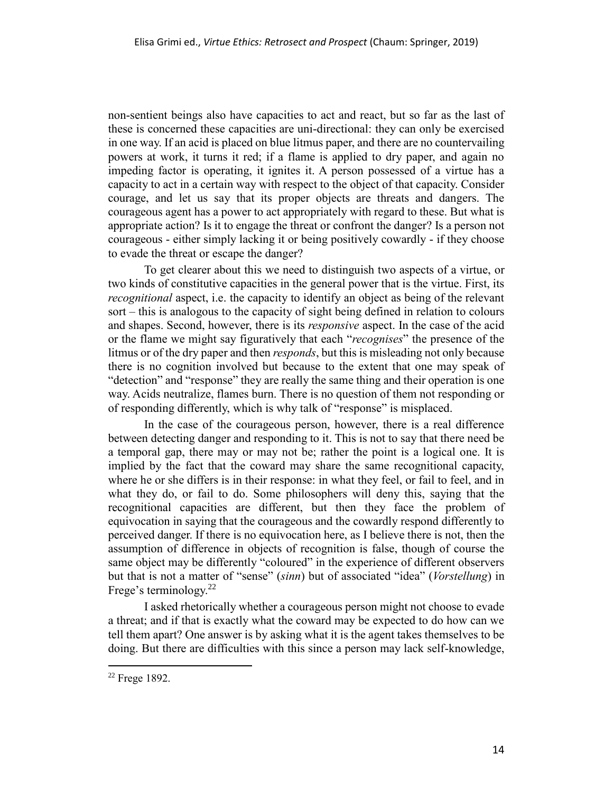non-sentient beings also have capacities to act and react, but so far as the last of these is concerned these capacities are uni-directional: they can only be exercised in one way. If an acid is placed on blue litmus paper, and there are no countervailing powers at work, it turns it red; if a flame is applied to dry paper, and again no impeding factor is operating, it ignites it. A person possessed of a virtue has a capacity to act in a certain way with respect to the object of that capacity. Consider courage, and let us say that its proper objects are threats and dangers. The courageous agent has a power to act appropriately with regard to these. But what is appropriate action? Is it to engage the threat or confront the danger? Is a person not courageous - either simply lacking it or being positively cowardly - if they choose to evade the threat or escape the danger?

To get clearer about this we need to distinguish two aspects of a virtue, or two kinds of constitutive capacities in the general power that is the virtue. First, its *recognitional* aspect, i.e. the capacity to identify an object as being of the relevant sort – this is analogous to the capacity of sight being defined in relation to colours and shapes. Second, however, there is its *responsive* aspect. In the case of the acid or the flame we might say figuratively that each "*recognises*" the presence of the litmus or of the dry paper and then *responds*, but this is misleading not only because there is no cognition involved but because to the extent that one may speak of "detection" and "response" they are really the same thing and their operation is one way. Acids neutralize, flames burn. There is no question of them not responding or of responding differently, which is why talk of "response" is misplaced.

In the case of the courageous person, however, there is a real difference between detecting danger and responding to it. This is not to say that there need be a temporal gap, there may or may not be; rather the point is a logical one. It is implied by the fact that the coward may share the same recognitional capacity, where he or she differs is in their response: in what they feel, or fail to feel, and in what they do, or fail to do. Some philosophers will deny this, saying that the recognitional capacities are different, but then they face the problem of equivocation in saying that the courageous and the cowardly respond differently to perceived danger. If there is no equivocation here, as I believe there is not, then the assumption of difference in objects of recognition is false, though of course the same object may be differently "coloured" in the experience of different observers but that is not a matter of "sense" (*sinn*) but of associated "idea" (*Vorstellung*) in Frege's terminology.<sup>22</sup>

I asked rhetorically whether a courageous person might not choose to evade a threat; and if that is exactly what the coward may be expected to do how can we tell them apart? One answer is by asking what it is the agent takes themselves to be doing. But there are difficulties with this since a person may lack self-knowledge,

<sup>22</sup> Frege 1892.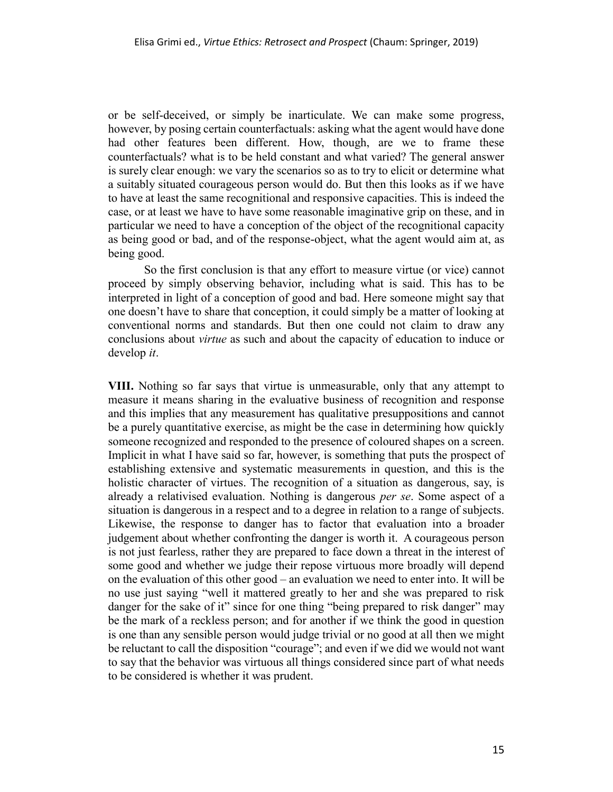or be self-deceived, or simply be inarticulate. We can make some progress, however, by posing certain counterfactuals: asking what the agent would have done had other features been different. How, though, are we to frame these counterfactuals? what is to be held constant and what varied? The general answer is surely clear enough: we vary the scenarios so as to try to elicit or determine what a suitably situated courageous person would do. But then this looks as if we have to have at least the same recognitional and responsive capacities. This is indeed the case, or at least we have to have some reasonable imaginative grip on these, and in particular we need to have a conception of the object of the recognitional capacity as being good or bad, and of the response-object, what the agent would aim at, as being good.

So the first conclusion is that any effort to measure virtue (or vice) cannot proceed by simply observing behavior, including what is said. This has to be interpreted in light of a conception of good and bad. Here someone might say that one doesn't have to share that conception, it could simply be a matter of looking at conventional norms and standards. But then one could not claim to draw any conclusions about *virtue* as such and about the capacity of education to induce or develop *it*.

**VIII.** Nothing so far says that virtue is unmeasurable, only that any attempt to measure it means sharing in the evaluative business of recognition and response and this implies that any measurement has qualitative presuppositions and cannot be a purely quantitative exercise, as might be the case in determining how quickly someone recognized and responded to the presence of coloured shapes on a screen. Implicit in what I have said so far, however, is something that puts the prospect of establishing extensive and systematic measurements in question, and this is the holistic character of virtues. The recognition of a situation as dangerous, say, is already a relativised evaluation. Nothing is dangerous *per se*. Some aspect of a situation is dangerous in a respect and to a degree in relation to a range of subjects. Likewise, the response to danger has to factor that evaluation into a broader judgement about whether confronting the danger is worth it. A courageous person is not just fearless, rather they are prepared to face down a threat in the interest of some good and whether we judge their repose virtuous more broadly will depend on the evaluation of this other good – an evaluation we need to enter into. It will be no use just saying "well it mattered greatly to her and she was prepared to risk danger for the sake of it" since for one thing "being prepared to risk danger" may be the mark of a reckless person; and for another if we think the good in question is one than any sensible person would judge trivial or no good at all then we might be reluctant to call the disposition "courage"; and even if we did we would not want to say that the behavior was virtuous all things considered since part of what needs to be considered is whether it was prudent.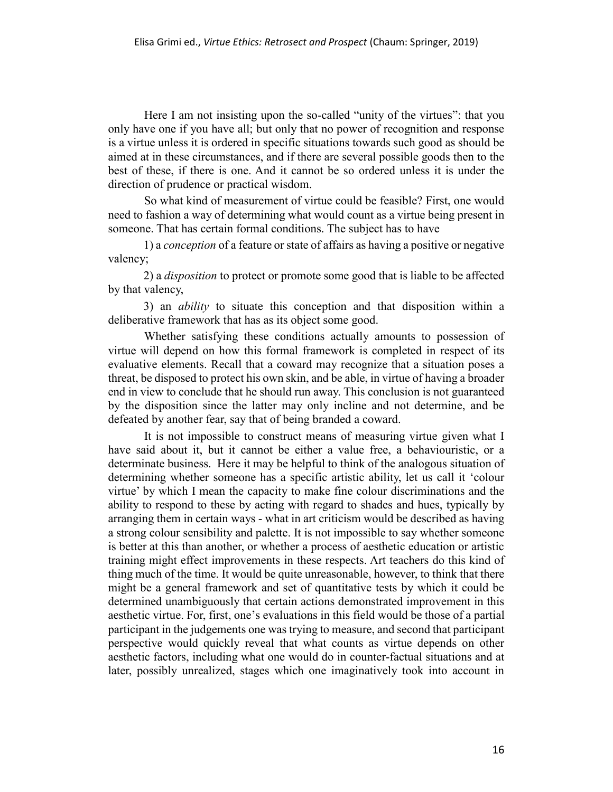Here I am not insisting upon the so-called "unity of the virtues": that you only have one if you have all; but only that no power of recognition and response is a virtue unless it is ordered in specific situations towards such good as should be aimed at in these circumstances, and if there are several possible goods then to the best of these, if there is one. And it cannot be so ordered unless it is under the direction of prudence or practical wisdom.

So what kind of measurement of virtue could be feasible? First, one would need to fashion a way of determining what would count as a virtue being present in someone. That has certain formal conditions. The subject has to have

1) a *conception* of a feature or state of affairs as having a positive or negative valency;

2) a *disposition* to protect or promote some good that is liable to be affected by that valency,

3) an *ability* to situate this conception and that disposition within a deliberative framework that has as its object some good.

Whether satisfying these conditions actually amounts to possession of virtue will depend on how this formal framework is completed in respect of its evaluative elements. Recall that a coward may recognize that a situation poses a threat, be disposed to protect his own skin, and be able, in virtue of having a broader end in view to conclude that he should run away. This conclusion is not guaranteed by the disposition since the latter may only incline and not determine, and be defeated by another fear, say that of being branded a coward.

It is not impossible to construct means of measuring virtue given what I have said about it, but it cannot be either a value free, a behaviouristic, or a determinate business. Here it may be helpful to think of the analogous situation of determining whether someone has a specific artistic ability, let us call it 'colour virtue' by which I mean the capacity to make fine colour discriminations and the ability to respond to these by acting with regard to shades and hues, typically by arranging them in certain ways - what in art criticism would be described as having a strong colour sensibility and palette. It is not impossible to say whether someone is better at this than another, or whether a process of aesthetic education or artistic training might effect improvements in these respects. Art teachers do this kind of thing much of the time. It would be quite unreasonable, however, to think that there might be a general framework and set of quantitative tests by which it could be determined unambiguously that certain actions demonstrated improvement in this aesthetic virtue. For, first, one's evaluations in this field would be those of a partial participant in the judgements one was trying to measure, and second that participant perspective would quickly reveal that what counts as virtue depends on other aesthetic factors, including what one would do in counter-factual situations and at later, possibly unrealized, stages which one imaginatively took into account in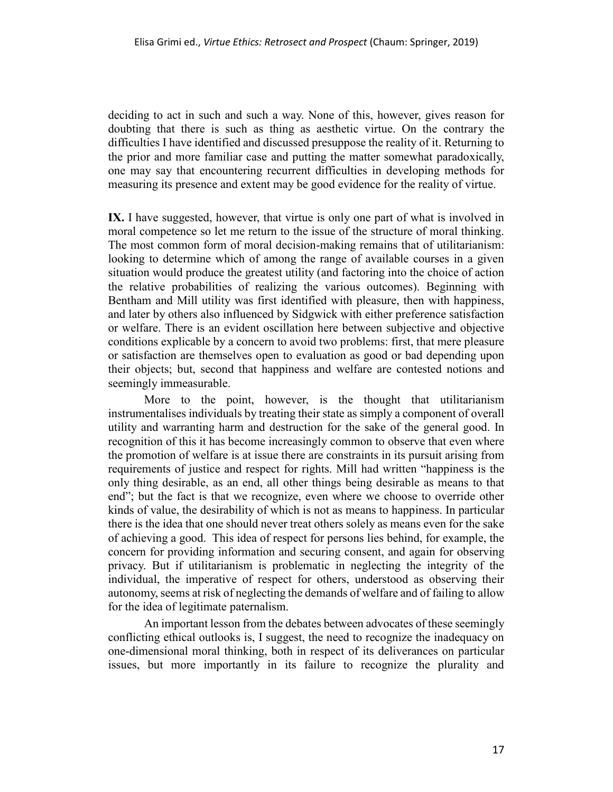deciding to act in such and such a way. None of this, however, gives reason for doubting that there is such as thing as aesthetic virtue. On the contrary the difficulties I have identified and discussed presuppose the reality of it. Returning to the prior and more familiar case and putting the matter somewhat paradoxically, one may say that encountering recurrent difficulties in developing methods for measuring its presence and extent may be good evidence for the reality of virtue.

**IX.** I have suggested, however, that virtue is only one part of what is involved in moral competence so let me return to the issue of the structure of moral thinking. The most common form of moral decision-making remains that of utilitarianism: looking to determine which of among the range of available courses in a given situation would produce the greatest utility (and factoring into the choice of action the relative probabilities of realizing the various outcomes). Beginning with Bentham and Mill utility was first identified with pleasure, then with happiness, and later by others also influenced by Sidgwick with either preference satisfaction or welfare. There is an evident oscillation here between subjective and objective conditions explicable by a concern to avoid two problems: first, that mere pleasure or satisfaction are themselves open to evaluation as good or bad depending upon their objects; but, second that happiness and welfare are contested notions and seemingly immeasurable.

More to the point, however, is the thought that utilitarianism instrumentalises individuals by treating their state as simply a component of overall utility and warranting harm and destruction for the sake of the general good. In recognition of this it has become increasingly common to observe that even where the promotion of welfare is at issue there are constraints in its pursuit arising from requirements of justice and respect for rights. Mill had written "happiness is the only thing desirable, as an end, all other things being desirable as means to that end"; but the fact is that we recognize, even where we choose to override other kinds of value, the desirability of which is not as means to happiness. In particular there is the idea that one should never treat others solely as means even for the sake of achieving a good. This idea of respect for persons lies behind, for example, the concern for providing information and securing consent, and again for observing privacy. But if utilitarianism is problematic in neglecting the integrity of the individual, the imperative of respect for others, understood as observing their autonomy, seems at risk of neglecting the demands of welfare and of failing to allow for the idea of legitimate paternalism.

An important lesson from the debates between advocates of these seemingly conflicting ethical outlooks is, I suggest, the need to recognize the inadequacy on one-dimensional moral thinking, both in respect of its deliverances on particular issues, but more importantly in its failure to recognize the plurality and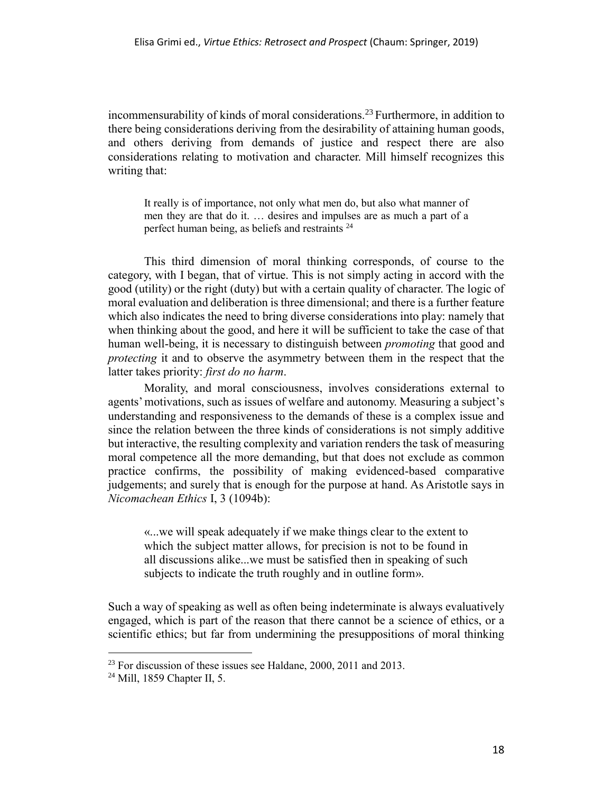incommensurability of kinds of moral considerations.<sup>23</sup> Furthermore, in addition to there being considerations deriving from the desirability of attaining human goods, and others deriving from demands of justice and respect there are also considerations relating to motivation and character. Mill himself recognizes this writing that:

It really is of importance, not only what men do, but also what manner of men they are that do it. … desires and impulses are as much a part of a perfect human being, as beliefs and restraints <sup>24</sup>

This third dimension of moral thinking corresponds, of course to the category, with I began, that of virtue. This is not simply acting in accord with the good (utility) or the right (duty) but with a certain quality of character. The logic of moral evaluation and deliberation is three dimensional; and there is a further feature which also indicates the need to bring diverse considerations into play: namely that when thinking about the good, and here it will be sufficient to take the case of that human well-being, it is necessary to distinguish between *promoting* that good and *protecting* it and to observe the asymmetry between them in the respect that the latter takes priority: *first do no harm*.

Morality, and moral consciousness, involves considerations external to agents' motivations, such as issues of welfare and autonomy. Measuring a subject's understanding and responsiveness to the demands of these is a complex issue and since the relation between the three kinds of considerations is not simply additive but interactive, the resulting complexity and variation renders the task of measuring moral competence all the more demanding, but that does not exclude as common practice confirms, the possibility of making evidenced-based comparative judgements; and surely that is enough for the purpose at hand. As Aristotle says in *Nicomachean Ethics* I, 3 (1094b):

«...we will speak adequately if we make things clear to the extent to which the subject matter allows, for precision is not to be found in all discussions alike...we must be satisfied then in speaking of such subjects to indicate the truth roughly and in outline form».

Such a way of speaking as well as often being indeterminate is always evaluatively engaged, which is part of the reason that there cannot be a science of ethics, or a scientific ethics; but far from undermining the presuppositions of moral thinking

 $23$  For discussion of these issues see Haldane, 2000, 2011 and 2013.

<sup>24</sup> Mill, 1859 Chapter II, 5.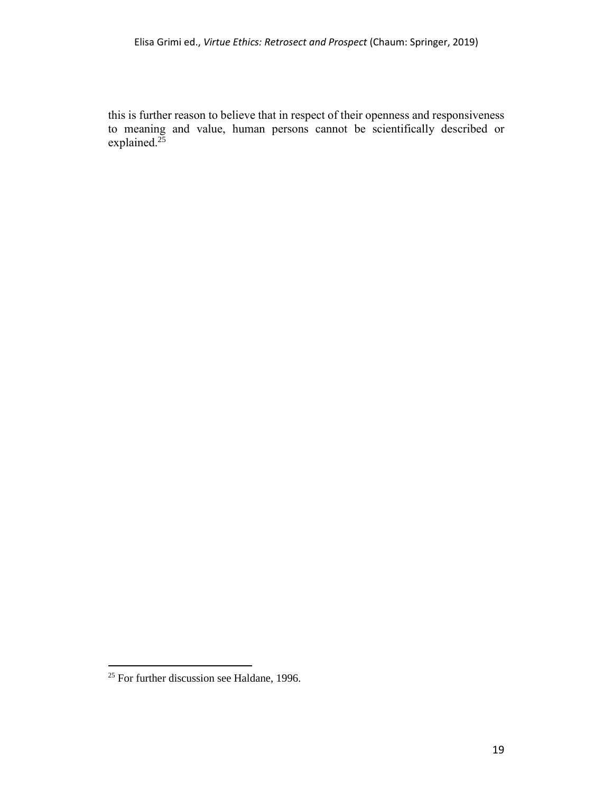this is further reason to believe that in respect of their openness and responsiveness to meaning and value, human persons cannot be scientifically described or explained. $25$ 

 $25$  For further discussion see Haldane, 1996.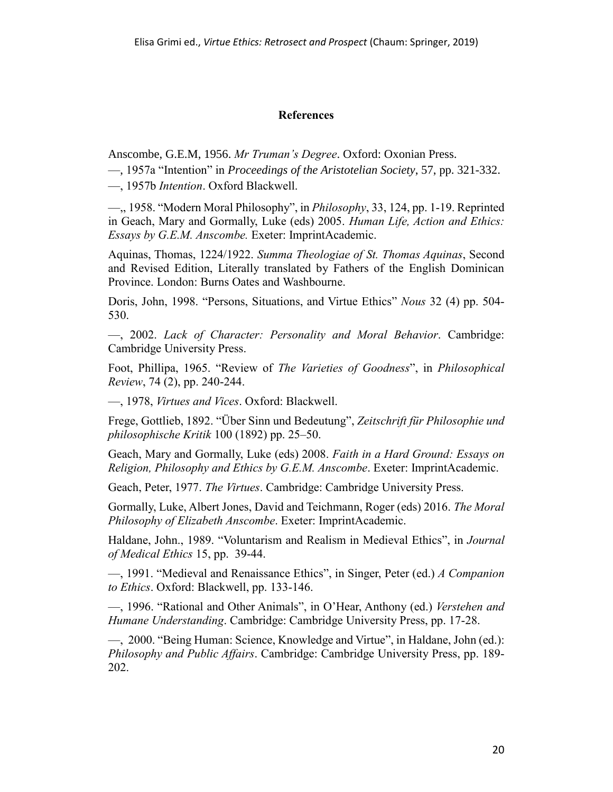## **References**

Anscombe, G.E.M, 1956. *Mr Truman's Degree*. Oxford: Oxonian Press.

—, 1957a "Intention" in *Proceedings of the Aristotelian Society*, 57, pp. 321-332.

—, 1957b *Intention*. Oxford Blackwell.

—,, 1958. "Modern Moral Philosophy", in *Philosophy*, 33, 124, pp. 1-19. Reprinted in Geach, Mary and Gormally, Luke (eds) 2005. *Human Life, Action and Ethics: Essays by G.E.M. Anscombe.* Exeter: ImprintAcademic.

Aquinas, Thomas, 1224/1922. *Summa Theologiae of St. Thomas Aquinas*, Second and Revised Edition, Literally translated by Fathers of the English Dominican Province. London: Burns Oates and Washbourne.

Doris, John, 1998. "Persons, Situations, and Virtue Ethics" *Nous* 32 (4) pp. 504- 530.

—, 2002. *Lack of Character: Personality and Moral Behavior*. Cambridge: Cambridge University Press.

Foot, Phillipa, 1965. "Review of *The Varieties of Goodness*", in *Philosophical Review*, 74 (2), pp. 240-244.

—, 1978, *Virtues and Vices*. Oxford: Blackwell.

Frege, Gottlieb, 1892. "Über Sinn und Bedeutung", *Zeitschrift für Philosophie und philosophische Kritik* 100 (1892) pp. 25–50.

Geach, Mary and Gormally, Luke (eds) 2008. *Faith in a Hard Ground: Essays on Religion, Philosophy and Ethics by G.E.M. Anscombe*. Exeter: ImprintAcademic.

Geach, Peter, 1977. *The Virtues*. Cambridge: Cambridge University Press.

Gormally, Luke, Albert Jones, David and Teichmann, Roger (eds) 2016. *The Moral Philosophy of Elizabeth Anscombe*. Exeter: ImprintAcademic.

Haldane, John., 1989. "Voluntarism and Realism in Medieval Ethics", in *Journal of Medical Ethics* 15, pp. 39-44.

—, 1991. "Medieval and Renaissance Ethics", in Singer, Peter (ed.) *A Companion to Ethics*. Oxford: Blackwell, pp. 133-146.

—, 1996. "Rational and Other Animals", in O'Hear, Anthony (ed.) *Verstehen and Humane Understanding*. Cambridge: Cambridge University Press, pp. 17-28.

—, 2000. "Being Human: Science, Knowledge and Virtue", in Haldane, John (ed.): *Philosophy and Public Affairs*. Cambridge: Cambridge University Press, pp. 189- 202.